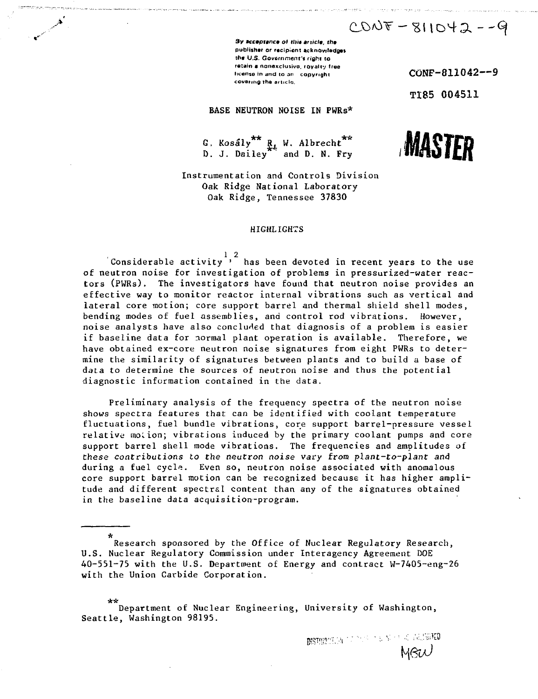$CDOV = 811042 - -9$ 

**3y acceptance of this arxicle, the publisher or recipient acknowledges tt»« U.S. Government's right to retain a nonexclusivo.** royalty free license in and to an  $\frac{1}{2}$  copyright CONF-811042--9 **covering The articla.**

TI85 004511

### BASE NEUTRON NOISE IN PWRs\*

G. Kosály <sup>M</sup>. Albrecht D. J. Dailey ' and D. N. Fry



Instrumentation and Controls Division Oak Ridge National Laboratory Oak Ridge, Tennessee 37830

#### HIGHLIGHTS

Considerable activity  $\frac{1}{2}$  has been devoted in recent years to the use of neutron noise for investigation of problems in pressurized-water reactors (PWRs). The investigators have found that neutron noise provides an effective way to monitor reactor internal vibrations such as vertical and lateral core motion; core support barrel and thermal shield shell modes, bending modes of fuel assemblies, and control rod vibrations. However, noise analysts have also concluded that diagnosis of a problem is easier if baseline data for normal plant operation is available. Therefore, we have obtained ex-core neutron noise signatures from eight PWRs to determine the similarity of signatures between plants and to build a base of data to determine the sources of neutron noise and thus the potential diagnostic information contained in the data.

Preliminary analysis of the frequency spectra of the neutron noise shows spectra features that can be identified with coolant temperature fluctuations, fuel bundle vibrations, core support barrel-pressure vessel relative motion; vibrations induced by the primary coolant pumps and core support barrel shell mode vibrations. The frequencies and amplitudes of these contributions to the neutron noise vary from plant-to-plant and during a fuel cycle. Even so, neutron noise associated with anomalous core support barrel motion can be recognized because it has higher amplitude and different spectral content than any of the signatures obtained in the baseline data acquisition-program.

**fwarehout of the state of the state of the state of the state of the state of the state of the state of the state of the state of the state of the state of the state of the state of the state of the state of the state of** 

Department of Nuclear Engineering, University of Washington, Seattle, Washington 98195.

Research sponsored by the Office of Nuclear Regulatory Research, U.S. Nuclear Regulatory Commission under Interagency Agreement DOE 40-551-75 with the U.S. Department of Energy and contract W-7405-eng-26 with the Union Carbide Corporation.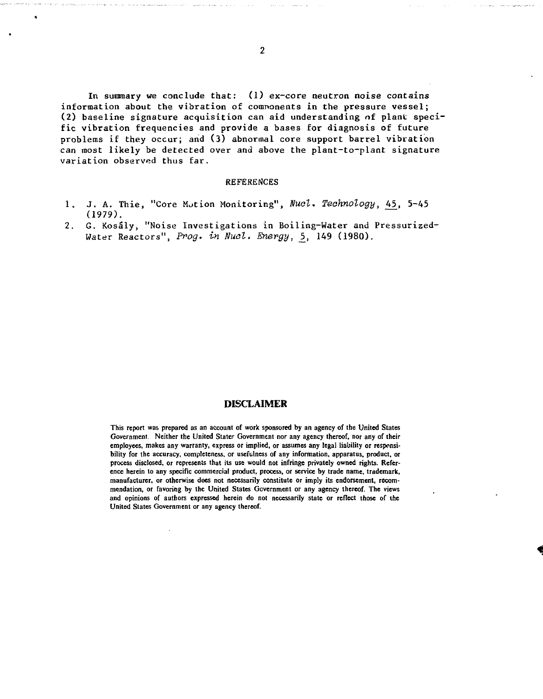In summary we conclude that:  $(1)$  ex-core neutron noise contains information about the vibration of components in the pressure vessel; (2) baseline signature acquisition can aid understanding of plant specific vibration frequencies and provide a bases for diagnosis of future problems if they occur; and (3) abnormal core support barrel vibration can most likely be detected over and above the plant-to-plant signature variation observed thus far.

#### REFERENCES

- 1. J. A. Thie, "Core Motion Monitoring", Nucl. Technology, 45, 5-45 (1979).
- 2. G. Kosaly, "Noise Investigations in Boiling-Water and Pressurized-Water Reactors", Prog, in Nuol. Energy, 5, 149 (1980).

#### DISCLAIMER

**This report was prepared as an account of work sponsored by an agency of the United States Government. Neither the United Stater Government nor any agency thereof, nor any of their employees, makes any warranty, express or implied, or assumes any legal liability or responsibility for the accuracy, completeness, or usefulness of any information, apparatus, product, or process disclosed, or represents that its use would not infringe privately owned rights. Reference herein to any specific commercial product, process, or service by trade name, trademark, manufacturer, or otherwise does not necessarily constitute or imply its endorsement, recommendation, or favoring by the United States Government or any agency thereof. The views and opinions of authors expressed herein do not necessarily slate or reflect those of the United States Government or any agency thereof.**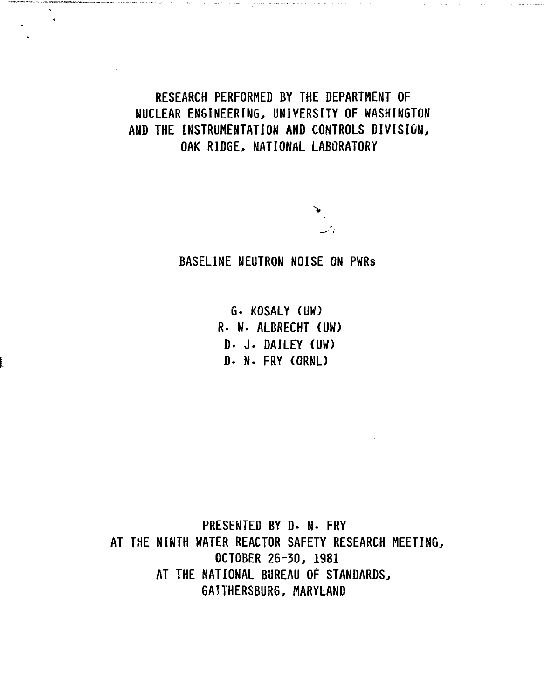**RESEARCH PERFORMED BY THE DEPARTMENT OF NUCLEAR ENGINEERING, UNIVERSITY OF WASHINGTON AND THE INSTRUMENTATION AND CONTROLS DIVISION, OAK RIDGE, NATIONAL LABORATORY**

 $\hat{\mathbf{v}}$ 

**BASELINE NEUTRON NOISE ON PWRs**

**6- KOSALY (UW) R. W. ALBRECHT (UW) D. J. DAILEY (UW) D. N. FRY (ORNL)**

**PRESENTED BY D- N- FRY AT THE NINTH WATER REACTOR SAFETY RESEARCH MEETING, OCTOBER 26-30, 1981 AT THE NATIONAL BUREAU OF STANDARDS, GAITHERSBURG, MARYLAND**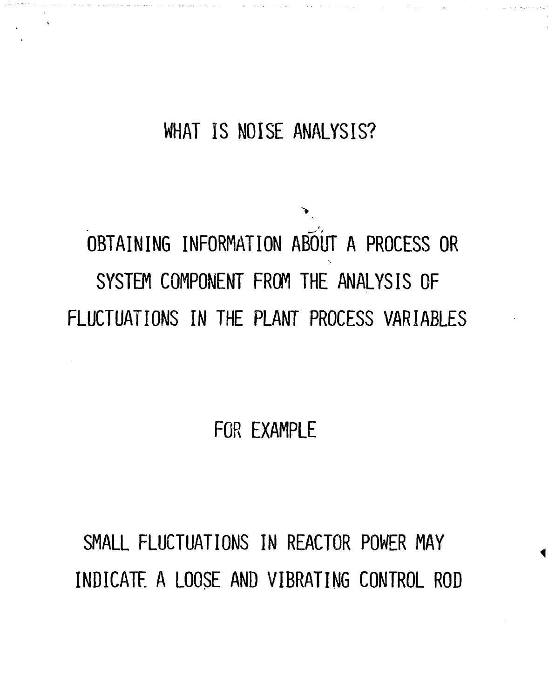## **WHAT IS NOISE ANALYSIS?**

`∙

 $\tilde{\alpha}$  are an extended by  $\tilde{\alpha}$  and  $\tilde{\alpha}$ 

# **OBTAINING INFORMATION ABOUT A PROCESS OR SYSTEM COMPONENT FROM THE ANALYSIS OF FLUCTUATIONS IN THE PLANT PROCESS VARIABLES**

**FOR EXAMPLE**

**SMALL FLUCTUATIONS IN REACTOR POWER MAY INDICATE A LOOSE AND VIBRATING CONTROL ROD**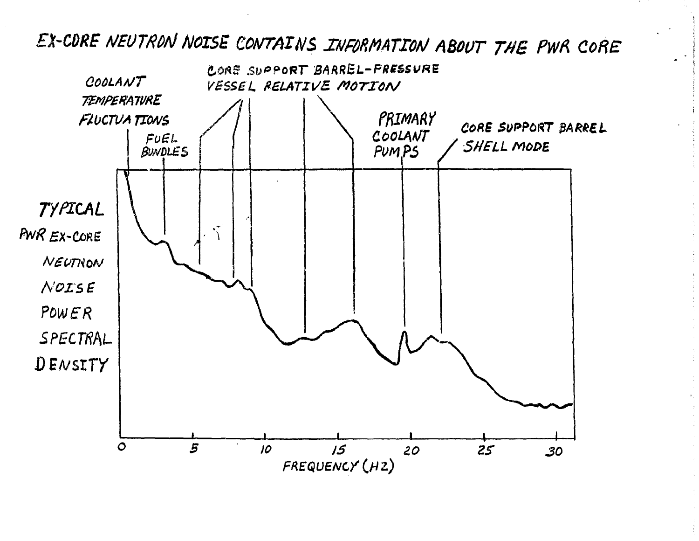# EX-CORE NEUTRON NOISE CONTAINS INFORMATION ABOUT THE PWR CORE

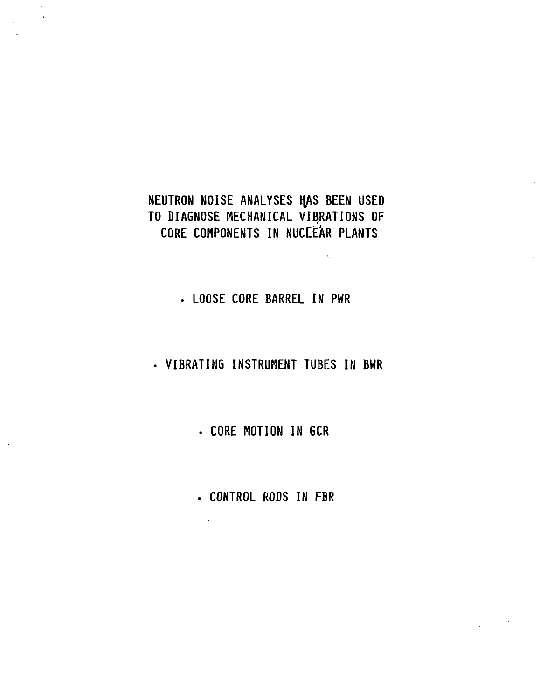## **NEUTRON NOISE ANALYSES HAS BEEN USED TO DIAGNOSE MECHANICAL VIBRATIONS OF CORE COMPONENTS IN NUCLEAR PLANTS**

**. LOOSE CORE BARREL IN PWR**

**VIBRATING INSTRUMENT TUBES IN BWR**

**. CORE MOTION IN GCR**

**• CONTROL RODS IN FBR**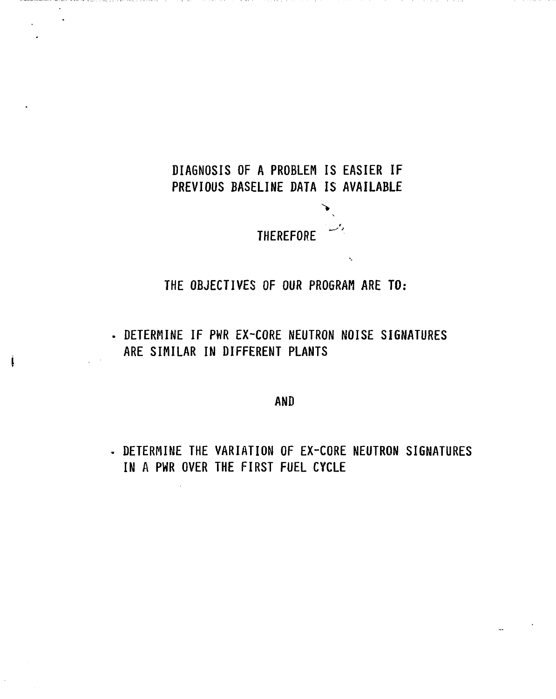## **DIAGNOSIS OF A PROBLEM IS EASIER IF PREVIOUS BASELINE DATA IS AVAILABLE**

**THEREFORE**

**THE OBJECTIVES OF OUR PROGRAM ARE TO:**

**DETERMINE IF PWR EX-CORE NEUTRON NOISE SIGNATURES ARE SIMILAR IN DIFFERENT PLANTS**

į

**AND**

**DETERMINE THE VARIATION OF EX-CORE NEUTRON SIGNATURES IN A PWR OVER THE FIRST FUEL CYCLE**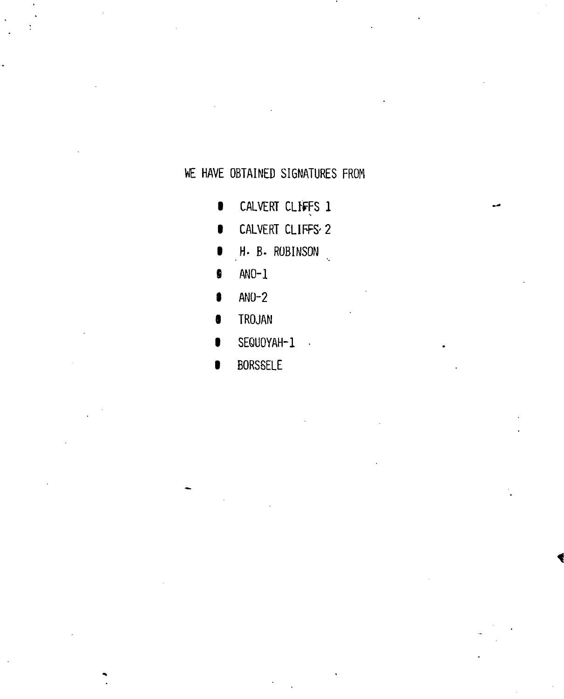## WE HAVE OBTAINED SIGNATURES FROM

- $\bullet$ CALVERI CLIFFS I
- **1** CALVERT CLIFFS' 2
- 1 H. B. ROBINSON
- **s** ANO-1
- 5 ANO-2
- 8 TROJAN
- **U** SEQUOYAH-1
- **U** BORSSELE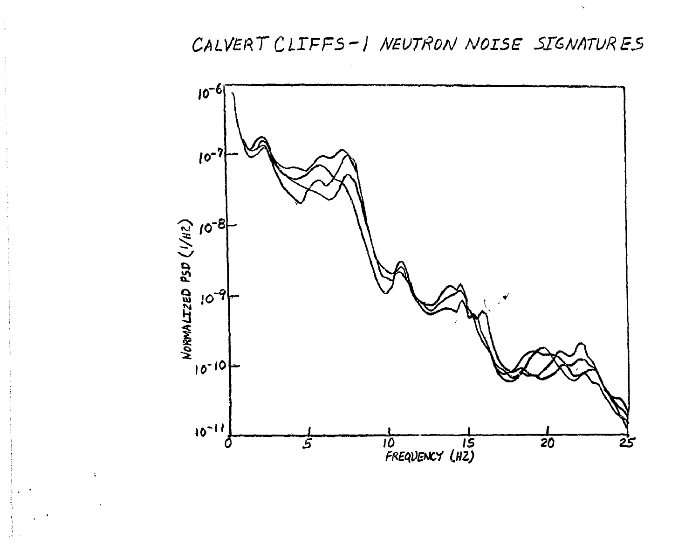## CALVERT CLIFFS-1 NEUTRON NOISE SIGNATURES

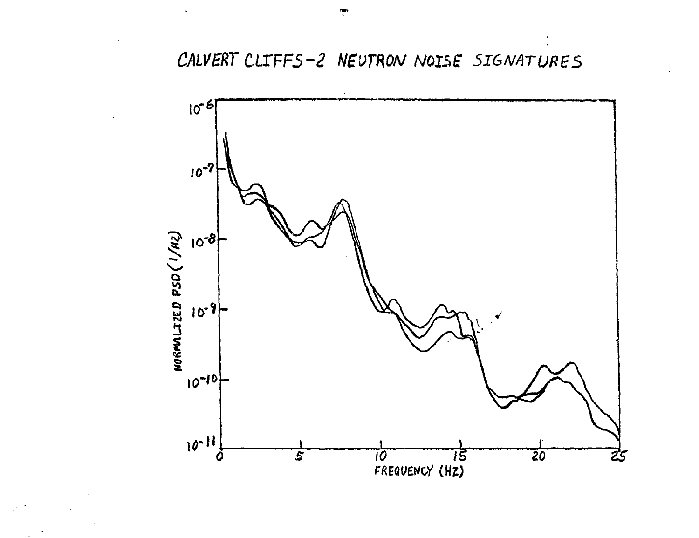CALVERT CLIFFS-2 NEUTRON NOISE SIGNATURES

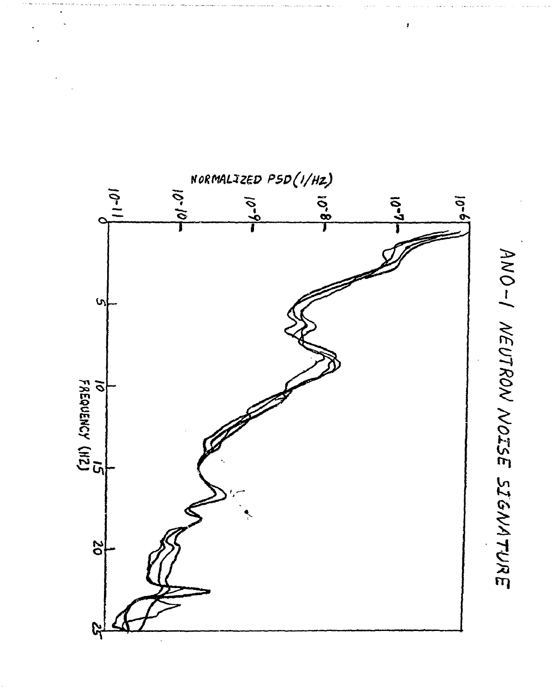

ANO-I NEUTRON NOISE SIGNATURE

ł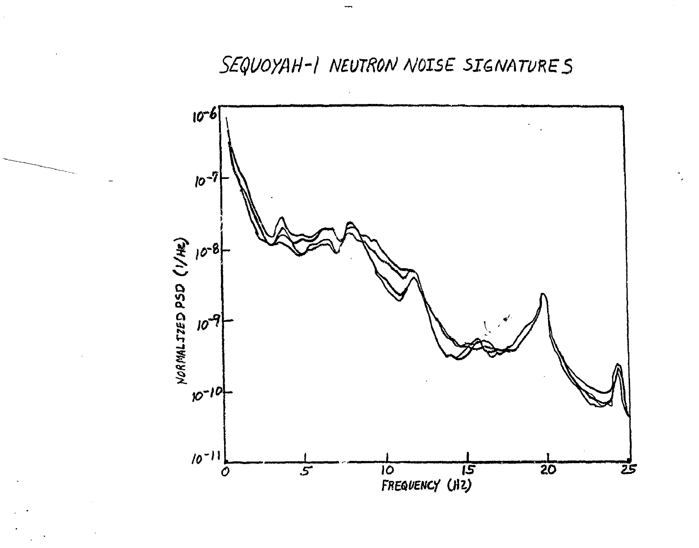SEQUOYAH-I NEUTRON NOISE SIGNATURES

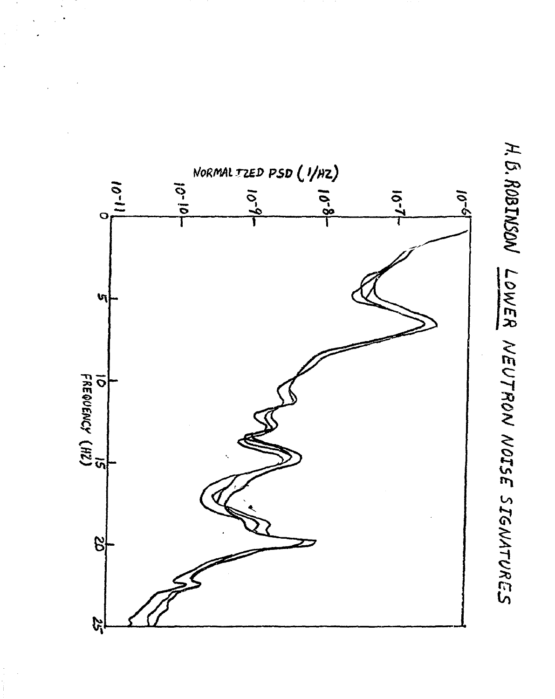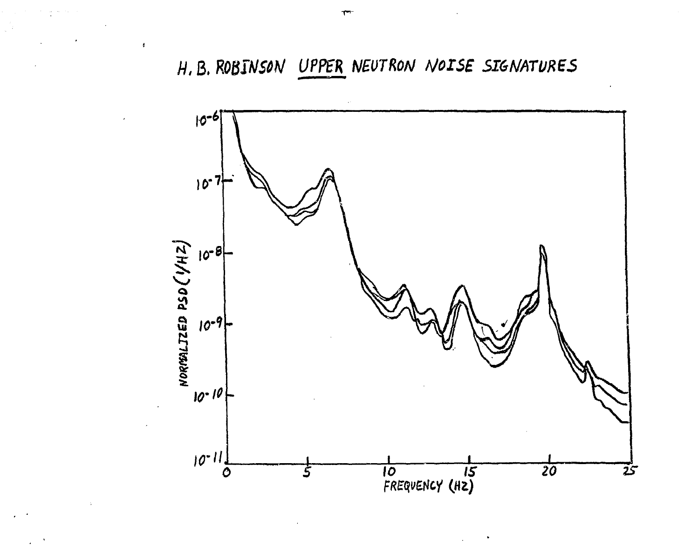# H. B. ROBINSON UPPER NEUTRON NOISE SIGNATURES



 $\overline{4}$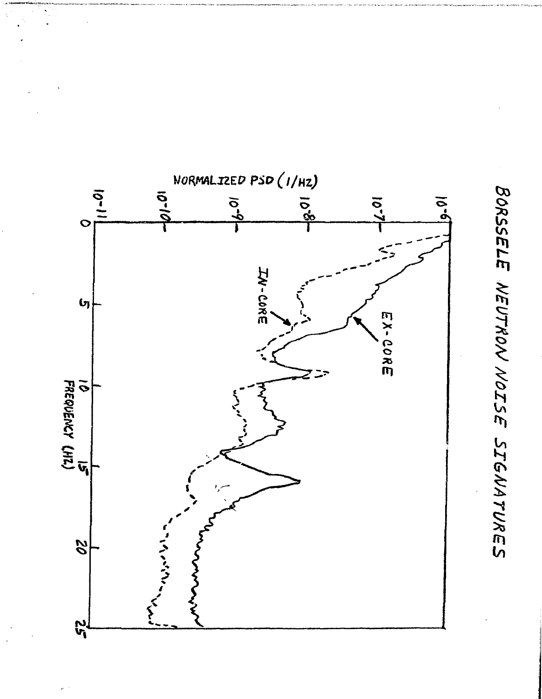

BORSSELE NEUTRON NOISE SIGNATURES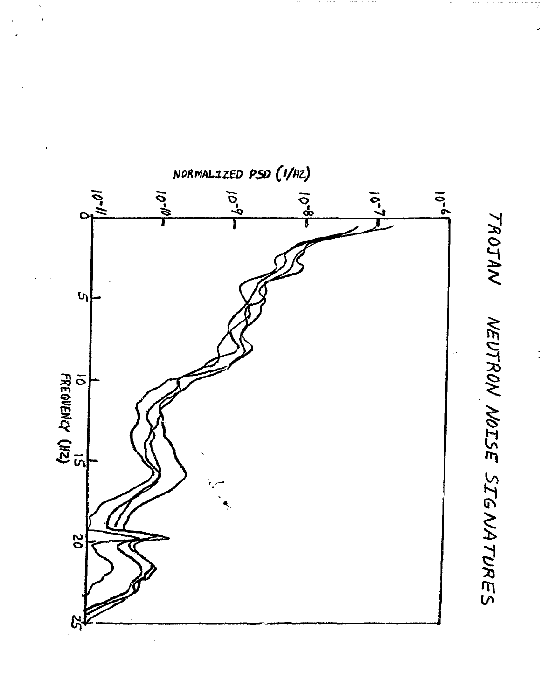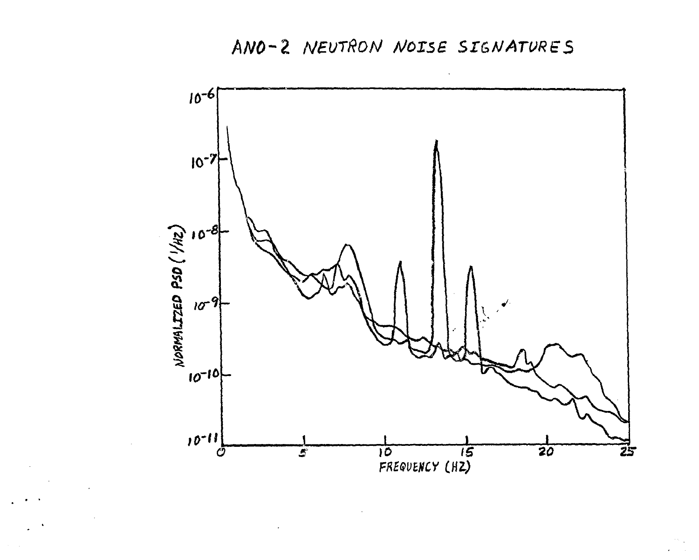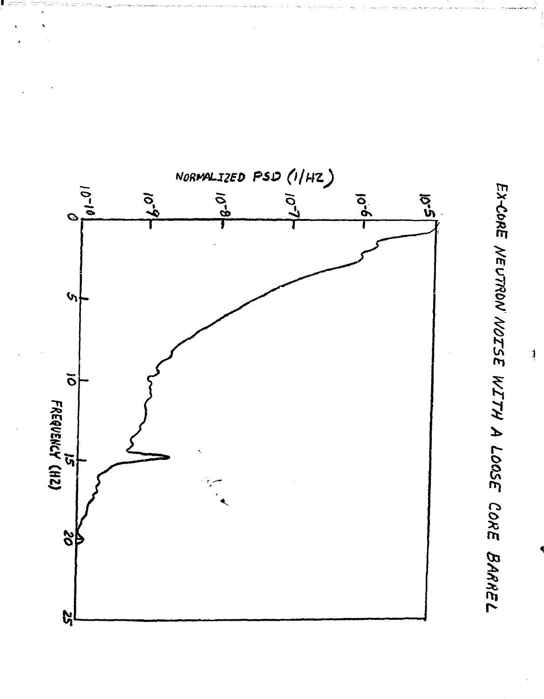

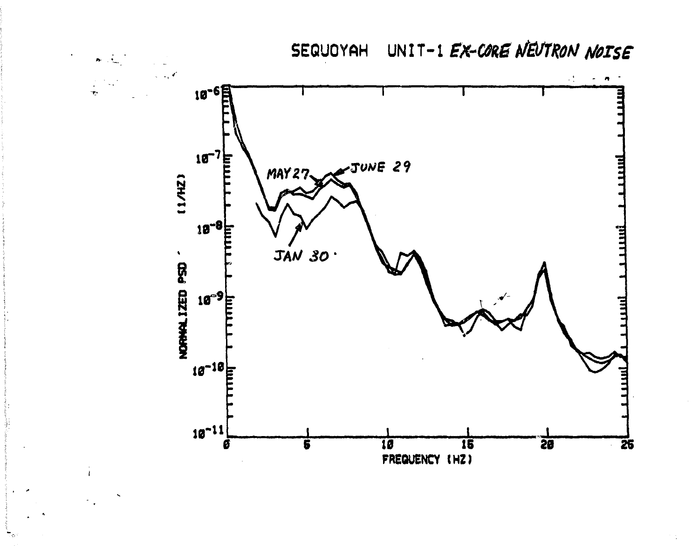